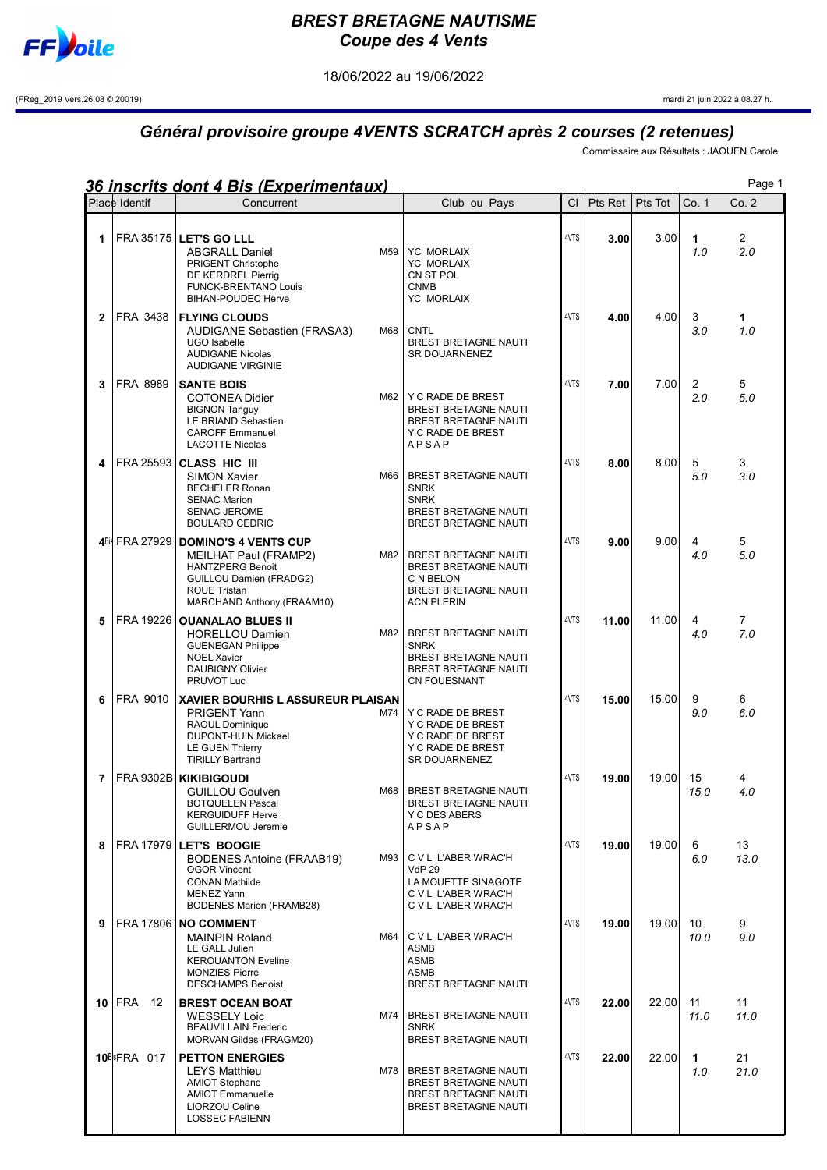

## BREST BRETAGNE NAUTISME Coupe des 4 Vents

18/06/2022 au 19/06/2022

(FReg\_2019 Vers.26.08 © 20019) mardi 21 juin 2022 à 08.27 h.

## Général provisoire groupe 4VENTS SCRATCH après 2 courses (2 retenues)

Commissaire aux Résultats : JAOUEN Carole

|    |                     | <u>36 inscrits dont 4 Bis (Experimentaux)</u>                                                                                                                         |                                                                                                               |                                                                                                                             |           |         |          |            | Page 1                |
|----|---------------------|-----------------------------------------------------------------------------------------------------------------------------------------------------------------------|---------------------------------------------------------------------------------------------------------------|-----------------------------------------------------------------------------------------------------------------------------|-----------|---------|----------|------------|-----------------------|
|    | Place Identif       | Concurrent                                                                                                                                                            |                                                                                                               | Club ou Pays                                                                                                                | <b>CI</b> | Pts Ret | Pts Tot  | Co. 1      | Co.2                  |
| 1  |                     | FRA 35175 LET'S GO LLL<br><b>ABGRALL Daniel</b><br>PRIGENT Christophe<br>DE KERDREL Pierrig<br><b>FUNCK-BRENTANO Louis</b><br><b>BIHAN-POUDEC Herve</b>               | M59                                                                                                           | <b>YC MORLAIX</b><br><b>YC MORLAIX</b><br>CN ST POL<br><b>CNMB</b><br><b>YC MORLAIX</b>                                     | 4VTS      | 3.00    | 3.00     | 1<br>1.0   | $\overline{2}$<br>2.0 |
| 2  | FRA 3438            | <b>FLYING CLOUDS</b><br>AUDIGANE Sebastien (FRASA3)<br>UGO Isabelle<br><b>AUDIGANE Nicolas</b><br><b>AUDIGANE VIRGINIE</b>                                            | M68                                                                                                           | <b>CNTL</b><br><b>BREST BRETAGNE NAUTI</b><br><b>SR DOUARNENEZ</b>                                                          | 4VTS      | 4.00    | 4.00     | 3<br>3.0   | 1<br>1.0              |
| 3  | FRA 8989            | <b>SANTE BOIS</b><br><b>COTONEA Didier</b><br>M62<br><b>BIGNON Tanguy</b><br>LE BRIAND Sebastien<br><b>CAROFF Emmanuel</b><br><b>LACOTTE Nicolas</b>                  | Y C RADE DE BREST<br><b>BREST BRETAGNE NAUTI</b><br><b>BREST BRETAGNE NAUTI</b><br>Y C RADE DE BREST<br>APSAP | 4VTS                                                                                                                        | 7.00      | 7.00    | 2<br>2.0 | 5<br>5.0   |                       |
| 4  |                     | <b>FRA 25593 CLASS HIC III</b><br><b>SIMON Xavier</b><br><b>BECHELER Ronan</b><br><b>SENAC Marion</b><br><b>SENAC JEROME</b><br><b>BOULARD CEDRIC</b>                 | M66                                                                                                           | <b>BREST BRETAGNE NAUTI</b><br><b>SNRK</b><br><b>SNRK</b><br><b>BREST BRETAGNE NAUTI</b><br><b>BREST BRETAGNE NAUTI</b>     | 4VTS      | 8.00    | 8.00     | 5<br>5.0   | 3<br>3.0              |
|    | 4Bis FRA 27929      | <b>DOMINO'S 4 VENTS CUP</b><br>MEILHAT Paul (FRAMP2)<br><b>HANTZPERG Benoit</b><br>GUILLOU Damien (FRADG2)<br><b>ROUE Tristan</b><br>MARCHAND Anthony (FRAAM10)       | M82                                                                                                           | <b>BREST BRETAGNE NAUTI</b><br><b>BREST BRETAGNE NAUTI</b><br>C N BELON<br><b>BREST BRETAGNE NAUTI</b><br><b>ACN PLERIN</b> | 4VTS      | 9.00    | 9.00     | 4<br>4.0   | 5<br>5.0              |
| 5  | FRA 19226           | <b>OUANALAO BLUES II</b><br><b>HORELLOU Damien</b><br><b>GUENEGAN Philippe</b><br><b>NOEL Xavier</b><br><b>DAUBIGNY Olivier</b><br>PRUVOT Luc                         | M82                                                                                                           | BREST BRETAGNE NAUTI<br><b>SNRK</b><br><b>BREST BRETAGNE NAUTI</b><br><b>BREST BRETAGNE NAUTI</b><br><b>CN FOUESNANT</b>    | 4VTS      | 11.00   | 11.00    | 4<br>4.0   | $\overline{7}$<br>7.0 |
| 6  | FRA 9010            | <b>XAVIER BOURHIS L ASSUREUR PLAISAN</b><br><b>PRIGENT Yann</b><br>RAOUL Dominique<br><b>DUPONT-HUIN Mickael</b><br><b>LE GUEN Thierry</b><br><b>TIRILLY Bertrand</b> | M74                                                                                                           | Y C RADE DE BREST<br>Y C RADE DE BREST<br>Y C RADE DE BREST<br>Y C RADE DE BREST<br><b>SR DOUARNENEZ</b>                    | 4VTS      | 15.00   | 15.00    | 9<br>9.0   | 6<br>6.0              |
| 7. |                     | FRA 9302B KIKIBIGOUDI<br><b>GUILLOU Goulven</b><br><b>BOTQUELEN Pascal</b><br><b>KERGUIDUFF Herve</b><br><b>GUILLERMOU Jeremie</b>                                    |                                                                                                               | M68 BREST BRETAGNE NAUTI<br>BREST BRETAGNE NAUTI<br>Y C DES ABERS<br>APSAP                                                  | 4VTS      | 19.00   | 19.00    | 15<br>15.0 | 4<br>4.0              |
| 8  |                     | FRA 17979 LET'S BOOGIE<br><b>BODENES Antoine (FRAAB19)</b><br><b>OGOR Vincent</b><br><b>CONAN Mathilde</b><br><b>MENEZ Yann</b><br><b>BODENES Marion (FRAMB28)</b>    | M93                                                                                                           | C V L L'ABER WRAC'H<br><b>VdP 29</b><br>LA MOUETTE SINAGOTE<br>C V L L'ABER WRAC'H<br>C V L L'ABER WRAC'H                   | 4VTS      | 19.00   | 19.00    | 6<br>6.0   | 13<br>13.0            |
| 9  |                     | FRA 17806   NO COMMENT<br><b>MAINPIN Roland</b><br>LE GALL Julien<br><b>KEROUANTON Eveline</b><br><b>MONZIES Pierre</b><br><b>DESCHAMPS Benoist</b>                   | M64                                                                                                           | C V L L'ABER WRAC'H<br><b>ASMB</b><br><b>ASMB</b><br><b>ASMB</b><br>BREST BRETAGNE NAUTI                                    | 4VTS      | 19.00   | 19.00    | 10<br>10.0 | 9<br>9.0              |
|    | $10$   FRA<br>12    | <b>BREST OCEAN BOAT</b><br><b>WESSELY Loic</b><br><b>BEAUVILLAIN Frederic</b><br>MORVAN Gildas (FRAGM20)                                                              | M74                                                                                                           | BREST BRETAGNE NAUTI<br><b>SNRK</b><br>BREST BRETAGNE NAUTI                                                                 | 4VTS      | 22.00   | 22.00    | 11<br>11.0 | 11<br>11.0            |
|    | <b>10BlsFRA 017</b> | <b>PETTON ENERGIES</b><br><b>LEYS Matthieu</b><br><b>AMIOT Stephane</b><br><b>AMIOT Emmanuelle</b><br>LIORZOU Celine<br><b>LOSSEC FABIENN</b>                         | M78                                                                                                           | BREST BRETAGNE NAUTI<br>BREST BRETAGNE NAUTI<br>BREST BRETAGNE NAUTI<br><b>BREST BRETAGNE NAUTI</b>                         | 4VTS      | 22.00   | 22.00    | 1<br>1.0   | 21<br>21.0            |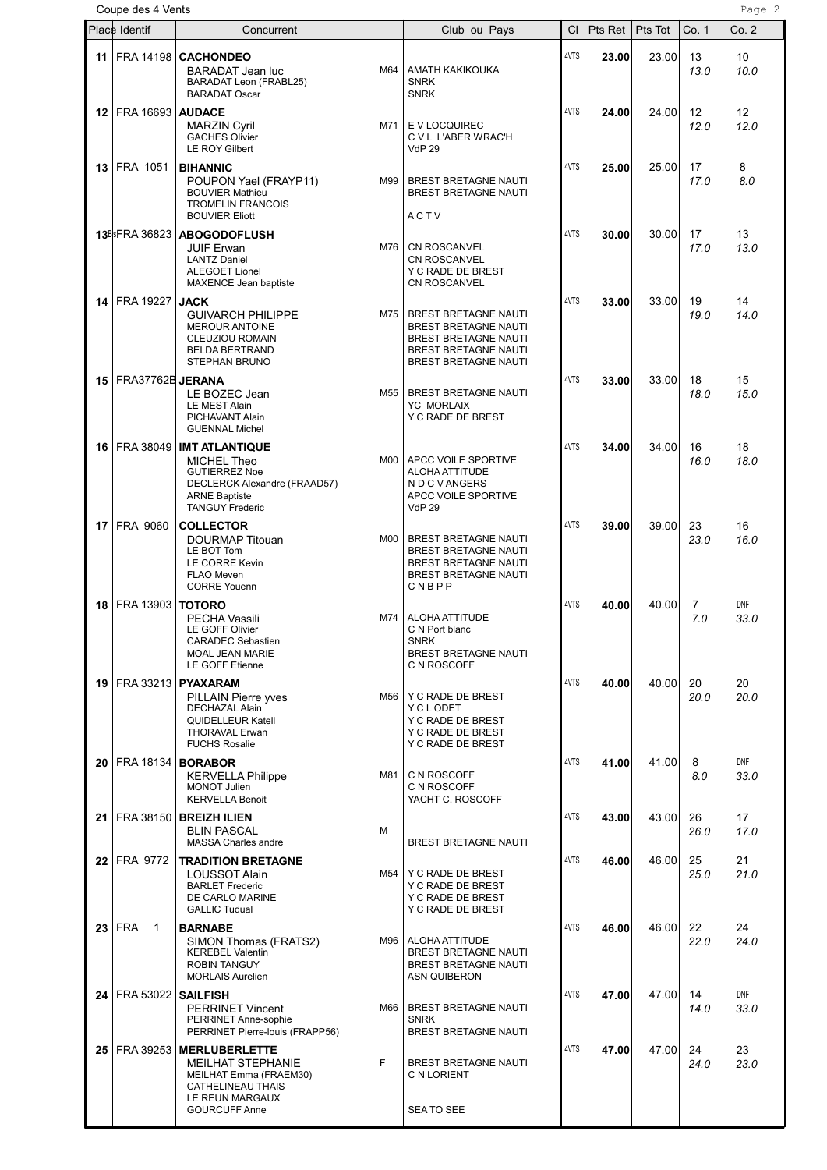|      | Coupe des 4 Vents           |                                                                                                                                                                 |     |                                                                                                                                                  |           |         |         |            | Page 2             |
|------|-----------------------------|-----------------------------------------------------------------------------------------------------------------------------------------------------------------|-----|--------------------------------------------------------------------------------------------------------------------------------------------------|-----------|---------|---------|------------|--------------------|
|      | Place Identif               | Concurrent                                                                                                                                                      |     | Club ou Pays                                                                                                                                     | <b>CI</b> | Pts Ret | Pts Tot | Co. 1      | Co. 2              |
| 11   |                             | FRA 14198 CACHONDEO<br>BARADAT Jean luc<br>BARADAT Leon (FRABL25)<br><b>BARADAT Oscar</b>                                                                       | M64 | AMATH KAKIKOUKA<br><b>SNRK</b><br><b>SNRK</b>                                                                                                    | 4VTS      | 23.00   | 23.00   | 13<br>13.0 | 10<br>10.0         |
| 12   | <b>FRA 16693   AUDACE</b>   | <b>MARZIN Cyril</b><br><b>GACHES Olivier</b><br><b>LE ROY Gilbert</b>                                                                                           | M71 | E V LOCQUIREC<br>C V L L'ABER WRAC'H<br><b>VdP 29</b>                                                                                            | 4VTS      | 24.00   | 24.00   | 12<br>12.0 | 12<br>12.0         |
|      | <b>13 FRA 1051</b>          | <b>BIHANNIC</b><br>POUPON Yael (FRAYP11)<br><b>BOUVIER Mathieu</b><br><b>TROMELIN FRANCOIS</b><br><b>BOUVIER Eliott</b>                                         | M99 | <b>BREST BRETAGNE NAUTI</b><br><b>BREST BRETAGNE NAUTI</b><br>ACTV                                                                               | 4VTS      | 25.00   | 25.00   | 17<br>17.0 | 8<br>8.0           |
|      | 13BlsFRA 36823              | <b>ABOGODOFLUSH</b><br><b>JUIF Erwan</b><br><b>LANTZ Daniel</b><br><b>ALEGOET Lionel</b><br>MAXENCE Jean baptiste                                               | M76 | <b>CN ROSCANVEL</b><br><b>CN ROSCANVEL</b><br>Y C RADE DE BREST<br><b>CN ROSCANVEL</b>                                                           | 4VTS      | 30.00   | 30.00   | 17<br>17.0 | 13<br>13.0         |
| 14   | FRA 19227                   | <b>JACK</b><br><b>GUIVARCH PHILIPPE</b><br><b>MEROUR ANTOINE</b><br><b>CLEUZIOU ROMAIN</b><br><b>BELDA BERTRAND</b><br><b>STEPHAN BRUNO</b>                     | M75 | <b>BREST BRETAGNE NAUTI</b><br><b>BREST BRETAGNE NAUTI</b><br>BREST BRETAGNE NAUTI<br><b>BREST BRETAGNE NAUTI</b><br><b>BREST BRETAGNE NAUTI</b> | 4VTS      | 33.00   | 33.00   | 19<br>19.0 | 14<br>14.0         |
| 15   | FRA37762B JERANA            | LE BOZEC Jean<br><b>LE MEST Alain</b><br>PICHAVANT Alain<br><b>GUENNAL Michel</b>                                                                               | M55 | BREST BRETAGNE NAUTI<br><b>YC MORLAIX</b><br>Y C RADE DE BREST                                                                                   | 4VTS      | 33.00   | 33.00   | 18<br>18.0 | 15<br>15.0         |
| 16   |                             | FRA 38049   IMT ATLANTIQUE<br>MICHEL Theo<br><b>GUTIERREZ Noe</b><br>DECLERCK Alexandre (FRAAD57)<br><b>ARNE Baptiste</b><br><b>TANGUY Frederic</b>             | M00 | APCC VOILE SPORTIVE<br>ALOHA ATTITUDE<br>N D C V ANGERS<br>APCC VOILE SPORTIVE<br><b>VdP 29</b>                                                  | 4VTS      | 34.00   | 34.00   | 16<br>16.0 | 18<br>18.0         |
| 17   | FRA 9060                    | <b>COLLECTOR</b><br>DOURMAP Titouan<br>LE BOT Tom<br>LE CORRE Kevin<br><b>FLAO Meven</b><br><b>CORRE Youenn</b>                                                 | M00 | <b>BREST BRETAGNE NAUTI</b><br><b>BREST BRETAGNE NAUTI</b><br><b>BREST BRETAGNE NAUTI</b><br><b>BREST BRETAGNE NAUTI</b><br>CNBPP                | 4VTS      | 39.00   | 39.00   | 23<br>23.0 | 16<br>16.0         |
| 18   | FRA 13903                   | <b>TOTORO</b><br><b>PECHA Vassili</b><br><b>LE GOFF Olivier</b><br><b>CARADEC Sebastien</b><br><b>MOAL JEAN MARIE</b><br>LE GOFF Etienne                        | M74 | ALOHA ATTITUDE<br>C N Port blanc<br><b>SNRK</b><br>BREST BRETAGNE NAUTI<br>C N ROSCOFF                                                           | 4VTS      | 40.00   | 40.00   | 7<br>7.0   | <b>DNF</b><br>33.0 |
| 19   |                             | FRA 33213   <b>PYAXARAM</b><br><b>PILLAIN Pierre vves</b><br><b>DECHAZAL Alain</b><br><b>QUIDELLEUR Katell</b><br><b>THORAVAL Erwan</b><br><b>FUCHS Rosalie</b> | M56 | Y C RADE DE BREST<br>Y C L ODET<br>Y C RADE DE BREST<br>Y C RADE DE BREST<br>Y C RADE DE BREST                                                   | 4VTS      | 40.00   | 40.00   | 20<br>20.0 | 20<br>20.0         |
| 20   | FRA 18134   <b>BORABOR</b>  | <b>KERVELLA Philippe</b><br>MONOT Julien<br><b>KERVELLA Benoit</b>                                                                                              | M81 | C N ROSCOFF<br>C N ROSCOFF<br>YACHT C. ROSCOFF                                                                                                   | 4VTS      | 41.00   | 41.00   | 8<br>8.0   | DNF<br>33.0        |
|      |                             | 21   FRA 38150   BREIZH ILIEN<br><b>BLIN PASCAL</b><br><b>MASSA Charles andre</b>                                                                               | м   | BREST BRETAGNE NAUTI                                                                                                                             | 4VTS      | 43.00   | 43.00   | 26<br>26.0 | 17<br>17.0         |
| 22   | FRA 9772                    | <b>TRADITION BRETAGNE</b><br><b>LOUSSOT Alain</b><br><b>BARLET Frederic</b><br>DE CARLO MARINE<br><b>GALLIC Tudual</b>                                          | M54 | Y C RADE DE BREST<br>Y C RADE DE BREST<br>Y C RADE DE BREST<br>Y C RADE DE BREST                                                                 | 4VTS      | 46.00   | 46.00   | 25<br>25.0 | 21<br>21.0         |
| 23   | <b>FRA</b><br>$\mathbf{1}$  | <b>BARNABE</b><br>SIMON Thomas (FRATS2)<br><b>KEREBEL Valentin</b><br><b>ROBIN TANGUY</b><br><b>MORLAIS Aurelien</b>                                            | M96 | ALOHA ATTITUDE<br><b>BREST BRETAGNE NAUTI</b><br>BREST BRETAGNE NAUTI<br><b>ASN QUIBERON</b>                                                     | 4VTS      | 46.00   | 46.00   | 22<br>22.0 | 24<br>24.0         |
| 24 I | <b>FRA 53022   SAILFISH</b> | <b>PERRINET Vincent</b><br>PERRINET Anne-sophie<br>PERRINET Pierre-louis (FRAPP56)                                                                              | M66 | BREST BRETAGNE NAUTI<br><b>SNRK</b><br>BREST BRETAGNE NAUTI                                                                                      | 4VTS      | 47.00   | 47.00   | 14<br>14.0 | DNF<br>33.0        |
| 25   |                             | FRA 39253   MERLUBERLETTE<br><b>MEILHAT STEPHANIE</b><br>MEILHAT Emma (FRAEM30)<br><b>CATHELINEAU THAIS</b><br>LE REUN MARGAUX<br><b>GOURCUFF Anne</b>          | F.  | BREST BRETAGNE NAUTI<br>C N LORIENT<br>SEA TO SEE                                                                                                | 4VTS      | 47.00   | 47.00   | 24<br>24.0 | 23<br>23.0         |